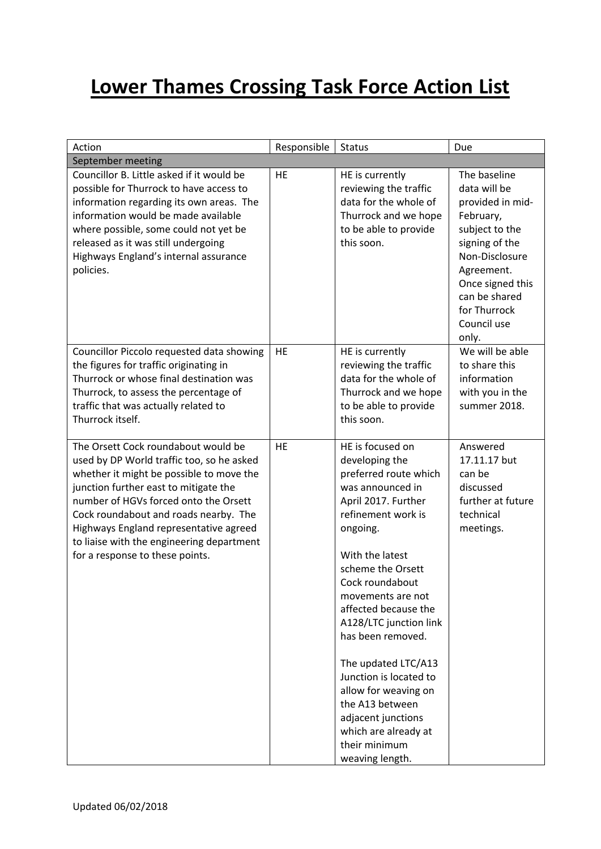## **Lower Thames Crossing Task Force Action List**

| Action                                                                                                                                                                                                                                                                                                                                                                            | Responsible | <b>Status</b>                                                                                                                                                                                                                                                                                                                                                                                                                                                                 | Due                                                                                                                                                                                                            |
|-----------------------------------------------------------------------------------------------------------------------------------------------------------------------------------------------------------------------------------------------------------------------------------------------------------------------------------------------------------------------------------|-------------|-------------------------------------------------------------------------------------------------------------------------------------------------------------------------------------------------------------------------------------------------------------------------------------------------------------------------------------------------------------------------------------------------------------------------------------------------------------------------------|----------------------------------------------------------------------------------------------------------------------------------------------------------------------------------------------------------------|
| September meeting                                                                                                                                                                                                                                                                                                                                                                 |             |                                                                                                                                                                                                                                                                                                                                                                                                                                                                               |                                                                                                                                                                                                                |
| Councillor B. Little asked if it would be<br>possible for Thurrock to have access to<br>information regarding its own areas. The<br>information would be made available<br>where possible, some could not yet be<br>released as it was still undergoing<br>Highways England's internal assurance<br>policies.                                                                     | HE          | HE is currently<br>reviewing the traffic<br>data for the whole of<br>Thurrock and we hope<br>to be able to provide<br>this soon.                                                                                                                                                                                                                                                                                                                                              | The baseline<br>data will be<br>provided in mid-<br>February,<br>subject to the<br>signing of the<br>Non-Disclosure<br>Agreement.<br>Once signed this<br>can be shared<br>for Thurrock<br>Council use<br>only. |
| Councillor Piccolo requested data showing<br>the figures for traffic originating in<br>Thurrock or whose final destination was<br>Thurrock, to assess the percentage of<br>traffic that was actually related to<br>Thurrock itself.                                                                                                                                               | <b>HE</b>   | HE is currently<br>reviewing the traffic<br>data for the whole of<br>Thurrock and we hope<br>to be able to provide<br>this soon.                                                                                                                                                                                                                                                                                                                                              | We will be able<br>to share this<br>information<br>with you in the<br>summer 2018.                                                                                                                             |
| The Orsett Cock roundabout would be<br>used by DP World traffic too, so he asked<br>whether it might be possible to move the<br>junction further east to mitigate the<br>number of HGVs forced onto the Orsett<br>Cock roundabout and roads nearby. The<br>Highways England representative agreed<br>to liaise with the engineering department<br>for a response to these points. | <b>HE</b>   | HE is focused on<br>developing the<br>preferred route which<br>was announced in<br>April 2017. Further<br>refinement work is<br>ongoing.<br>With the latest<br>scheme the Orsett<br>Cock roundabout<br>movements are not<br>affected because the<br>A128/LTC junction link<br>has been removed.<br>The updated LTC/A13<br>Junction is located to<br>allow for weaving on<br>the A13 between<br>adjacent junctions<br>which are already at<br>their minimum<br>weaving length. | Answered<br>17.11.17 but<br>can be<br>discussed<br>further at future<br>technical<br>meetings.                                                                                                                 |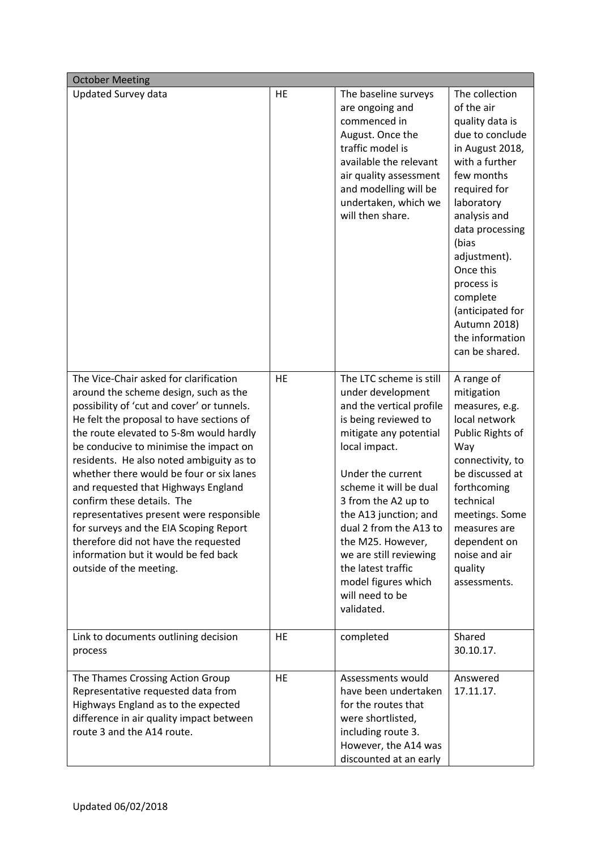| <b>October Meeting</b>                                                                                                                                                                                                                                                                                                                                                                                                                                                                                                                                                                                                       |    |                                                                                                                                                                                                                                                                                                                                                                                                   |                                                                                                                                                                                                                                                                                                                                 |
|------------------------------------------------------------------------------------------------------------------------------------------------------------------------------------------------------------------------------------------------------------------------------------------------------------------------------------------------------------------------------------------------------------------------------------------------------------------------------------------------------------------------------------------------------------------------------------------------------------------------------|----|---------------------------------------------------------------------------------------------------------------------------------------------------------------------------------------------------------------------------------------------------------------------------------------------------------------------------------------------------------------------------------------------------|---------------------------------------------------------------------------------------------------------------------------------------------------------------------------------------------------------------------------------------------------------------------------------------------------------------------------------|
| Updated Survey data                                                                                                                                                                                                                                                                                                                                                                                                                                                                                                                                                                                                          | HE | The baseline surveys<br>are ongoing and<br>commenced in<br>August. Once the<br>traffic model is<br>available the relevant<br>air quality assessment<br>and modelling will be<br>undertaken, which we<br>will then share.                                                                                                                                                                          | The collection<br>of the air<br>quality data is<br>due to conclude<br>in August 2018,<br>with a further<br>few months<br>required for<br>laboratory<br>analysis and<br>data processing<br>(bias<br>adjustment).<br>Once this<br>process is<br>complete<br>(anticipated for<br>Autumn 2018)<br>the information<br>can be shared. |
| The Vice-Chair asked for clarification<br>around the scheme design, such as the<br>possibility of 'cut and cover' or tunnels.<br>He felt the proposal to have sections of<br>the route elevated to 5-8m would hardly<br>be conducive to minimise the impact on<br>residents. He also noted ambiguity as to<br>whether there would be four or six lanes<br>and requested that Highways England<br>confirm these details. The<br>representatives present were responsible<br>for surveys and the EIA Scoping Report<br>therefore did not have the requested<br>information but it would be fed back<br>outside of the meeting. | HE | The LTC scheme is still<br>under development<br>and the vertical profile<br>is being reviewed to<br>mitigate any potential<br>local impact.<br>Under the current<br>scheme it will be dual<br>3 from the A2 up to<br>the A13 junction; and<br>dual 2 from the A13 to<br>the M25. However,<br>we are still reviewing<br>the latest traffic<br>model figures which<br>will need to be<br>validated. | A range of<br>mitigation<br>measures, e.g.<br>local network<br>Public Rights of<br>Way<br>connectivity, to<br>be discussed at<br>forthcoming<br>technical<br>meetings. Some<br>measures are<br>dependent on<br>noise and air<br>quality<br>assessments.                                                                         |
| Link to documents outlining decision<br>process                                                                                                                                                                                                                                                                                                                                                                                                                                                                                                                                                                              | HE | completed                                                                                                                                                                                                                                                                                                                                                                                         | Shared<br>30.10.17.                                                                                                                                                                                                                                                                                                             |
| The Thames Crossing Action Group<br>Representative requested data from<br>Highways England as to the expected<br>difference in air quality impact between<br>route 3 and the A14 route.                                                                                                                                                                                                                                                                                                                                                                                                                                      | HE | Assessments would<br>have been undertaken<br>for the routes that<br>were shortlisted,<br>including route 3.<br>However, the A14 was<br>discounted at an early                                                                                                                                                                                                                                     | Answered<br>17.11.17.                                                                                                                                                                                                                                                                                                           |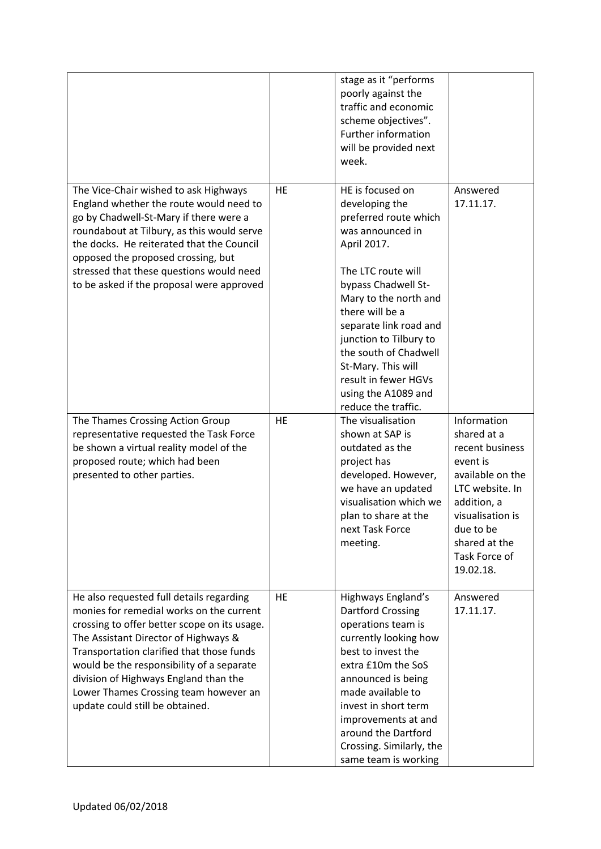|                                                                                                                                                                                                                                                                                                                                                                                             |    | stage as it "performs<br>poorly against the<br>traffic and economic<br>scheme objectives".<br>Further information<br>will be provided next<br>week.                                                                                                                                                                                                              |                                                                                                                                                                                                 |
|---------------------------------------------------------------------------------------------------------------------------------------------------------------------------------------------------------------------------------------------------------------------------------------------------------------------------------------------------------------------------------------------|----|------------------------------------------------------------------------------------------------------------------------------------------------------------------------------------------------------------------------------------------------------------------------------------------------------------------------------------------------------------------|-------------------------------------------------------------------------------------------------------------------------------------------------------------------------------------------------|
| The Vice-Chair wished to ask Highways<br>England whether the route would need to<br>go by Chadwell-St-Mary if there were a<br>roundabout at Tilbury, as this would serve<br>the docks. He reiterated that the Council<br>opposed the proposed crossing, but<br>stressed that these questions would need<br>to be asked if the proposal were approved                                        | HE | HE is focused on<br>developing the<br>preferred route which<br>was announced in<br>April 2017.<br>The LTC route will<br>bypass Chadwell St-<br>Mary to the north and<br>there will be a<br>separate link road and<br>junction to Tilbury to<br>the south of Chadwell<br>St-Mary. This will<br>result in fewer HGVs<br>using the A1089 and<br>reduce the traffic. | Answered<br>17.11.17.                                                                                                                                                                           |
| The Thames Crossing Action Group<br>representative requested the Task Force<br>be shown a virtual reality model of the<br>proposed route; which had been<br>presented to other parties.                                                                                                                                                                                                     | HE | The visualisation<br>shown at SAP is<br>outdated as the<br>project has<br>developed. However,<br>we have an updated<br>visualisation which we<br>plan to share at the<br>next Task Force<br>meeting.                                                                                                                                                             | Information<br>shared at a<br>recent business<br>event is<br>available on the<br>LTC website. In<br>addition, a<br>visualisation is<br>due to be<br>shared at the<br>Task Force of<br>19.02.18. |
| He also requested full details regarding<br>monies for remedial works on the current<br>crossing to offer better scope on its usage.<br>The Assistant Director of Highways &<br>Transportation clarified that those funds<br>would be the responsibility of a separate<br>division of Highways England than the<br>Lower Thames Crossing team however an<br>update could still be obtained. | HE | Highways England's<br><b>Dartford Crossing</b><br>operations team is<br>currently looking how<br>best to invest the<br>extra £10m the SoS<br>announced is being<br>made available to<br>invest in short term<br>improvements at and<br>around the Dartford<br>Crossing. Similarly, the<br>same team is working                                                   | Answered<br>17.11.17.                                                                                                                                                                           |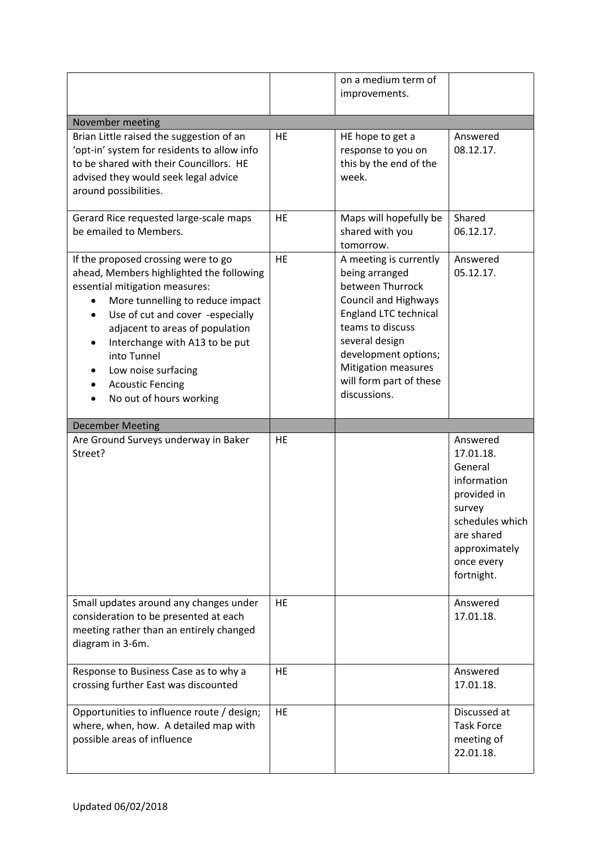|                                                                                                                                                                                                                                                                                                                                                                 |           | on a medium term of<br>improvements.                                                                                                                                                                                                                        |                                                                                                                                                        |
|-----------------------------------------------------------------------------------------------------------------------------------------------------------------------------------------------------------------------------------------------------------------------------------------------------------------------------------------------------------------|-----------|-------------------------------------------------------------------------------------------------------------------------------------------------------------------------------------------------------------------------------------------------------------|--------------------------------------------------------------------------------------------------------------------------------------------------------|
| November meeting                                                                                                                                                                                                                                                                                                                                                |           |                                                                                                                                                                                                                                                             |                                                                                                                                                        |
| Brian Little raised the suggestion of an<br>'opt-in' system for residents to allow info<br>to be shared with their Councillors. HE<br>advised they would seek legal advice<br>around possibilities.                                                                                                                                                             | <b>HE</b> | HE hope to get a<br>response to you on<br>this by the end of the<br>week.                                                                                                                                                                                   | Answered<br>08.12.17.                                                                                                                                  |
| Gerard Rice requested large-scale maps<br>be emailed to Members.                                                                                                                                                                                                                                                                                                | HE        | Maps will hopefully be<br>shared with you<br>tomorrow.                                                                                                                                                                                                      | Shared<br>06.12.17.                                                                                                                                    |
| If the proposed crossing were to go<br>ahead, Members highlighted the following<br>essential mitigation measures:<br>More tunnelling to reduce impact<br>Use of cut and cover -especially<br>٠<br>adjacent to areas of population<br>Interchange with A13 to be put<br>into Tunnel<br>Low noise surfacing<br><b>Acoustic Fencing</b><br>No out of hours working | HE        | A meeting is currently<br>being arranged<br>between Thurrock<br><b>Council and Highways</b><br>England LTC technical<br>teams to discuss<br>several design<br>development options;<br><b>Mitigation measures</b><br>will form part of these<br>discussions. | Answered<br>05.12.17.                                                                                                                                  |
| <b>December Meeting</b>                                                                                                                                                                                                                                                                                                                                         |           |                                                                                                                                                                                                                                                             |                                                                                                                                                        |
| Are Ground Surveys underway in Baker<br>Street?                                                                                                                                                                                                                                                                                                                 | HE        |                                                                                                                                                                                                                                                             | Answered<br>17.01.18.<br>General<br>information<br>provided in<br>survey<br>schedules which<br>are shared<br>approximately<br>once every<br>fortnight. |
| Small updates around any changes under<br>consideration to be presented at each<br>meeting rather than an entirely changed<br>diagram in 3-6m.                                                                                                                                                                                                                  | HE        |                                                                                                                                                                                                                                                             | Answered<br>17.01.18.                                                                                                                                  |
| Response to Business Case as to why a<br>crossing further East was discounted                                                                                                                                                                                                                                                                                   | <b>HE</b> |                                                                                                                                                                                                                                                             | Answered<br>17.01.18.                                                                                                                                  |
| Opportunities to influence route / design;<br>where, when, how. A detailed map with<br>possible areas of influence                                                                                                                                                                                                                                              | <b>HE</b> |                                                                                                                                                                                                                                                             | Discussed at<br><b>Task Force</b><br>meeting of<br>22.01.18.                                                                                           |